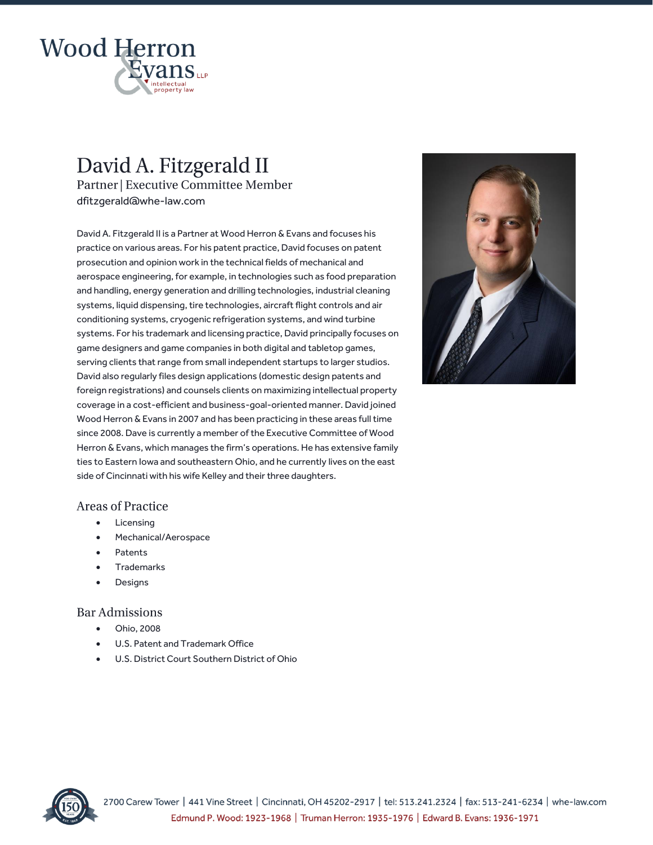

# David A. Fitzgerald II Partner | Executive Committee Member dfitzgerald@whe-law.com

David A. Fitzgerald II is a Partner at Wood Herron & Evans and focuses his practice on various areas. For his patent practice, David focuses on patent prosecution and opinion work in the technical fields of mechanical and aerospace engineering, for example, in technologies such as food preparation and handling, energy generation and drilling technologies, industrial cleaning systems, liquid dispensing, tire technologies, aircraft flight controls and air conditioning systems, cryogenic refrigeration systems, and wind turbine systems. For his trademark and licensing practice, David principally focuses on game designers and game companies in both digital and tabletop games, serving clients that range from small independent startups to larger studios. David also regularly files design applications (domestic design patents and foreign registrations) and counsels clients on maximizing intellectual property coverage in a cost-efficient and business-goal-oriented manner. David joined Wood Herron & Evans in 2007 and has been practicing in these areas full time since 2008. Dave is currently a member of the Executive Committee of Wood Herron & Evans, which manages the firm's operations. He has extensive family ties to Eastern Iowa and southeastern Ohio, and he currently lives on the east side of Cincinnati with his wife Kelley and their three daughters.

### **Areas of Practice**

- **Licensing**
- Mechanical/Aerospace
- Patents
- **Trademarks**
- **Designs**

#### **Bar Admissions**

- Ohio, 2008
- U.S. Patent and Trademark Office
- U.S. District Court Southern District of Ohio